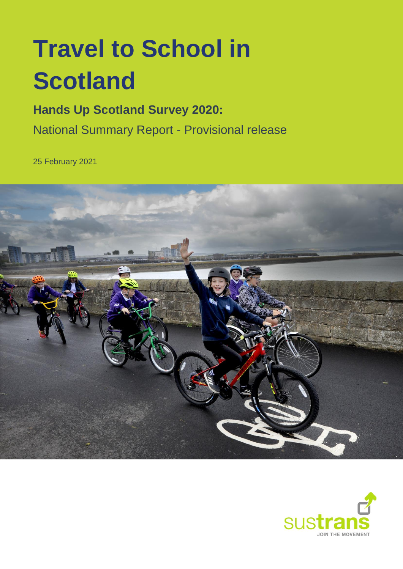# **Travel to School in Scotland**

# **Hands Up Scotland Survey 2020:**

National Summary Report - Provisional release

25 February 2021



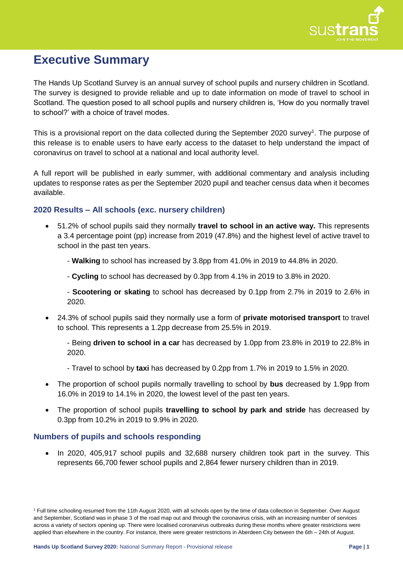

# **Executive Summary**

The Hands Up Scotland Survey is an annual survey of school pupils and nursery children in Scotland. The survey is designed to provide reliable and up to date information on mode of travel to school in Scotland. The question posed to all school pupils and nursery children is, 'How do you normally travel to school?' with a choice of travel modes.

This is a provisional report on the data collected during the September 2020 survey<sup>1</sup>. The purpose of this release is to enable users to have early access to the dataset to help understand the impact of coronavirus on travel to school at a national and local authority level.

A full report will be published in early summer, with additional commentary and analysis including updates to response rates as per the September 2020 pupil and teacher census data when it becomes available.

## **2020 Results – All schools (exc. nursery children)**

- 51.2% of school pupils said they normally **travel to school in an active way.** This represents a 3.4 percentage point (pp) increase from 2019 (47.8%) and the highest level of active travel to school in the past ten years.
	- **Walking** to school has increased by 3.8pp from 41.0% in 2019 to 44.8% in 2020.
	- **Cycling** to school has decreased by 0.3pp from 4.1% in 2019 to 3.8% in 2020.

- **Scootering or skating** to school has decreased by 0.1pp from 2.7% in 2019 to 2.6% in 2020.

 24.3% of school pupils said they normally use a form of **private motorised transport** to travel to school. This represents a 1.2pp decrease from 25.5% in 2019.

- Being **driven to school in a car** has decreased by 1.0pp from 23.8% in 2019 to 22.8% in 2020.

- Travel to school by **taxi** has decreased by 0.2pp from 1.7% in 2019 to 1.5% in 2020.
- The proportion of school pupils normally travelling to school by **bus** decreased by 1.9pp from 16.0% in 2019 to 14.1% in 2020, the lowest level of the past ten years.
- The proportion of school pupils **travelling to school by park and stride** has decreased by 0.3pp from 10.2% in 2019 to 9.9% in 2020.

#### **Numbers of pupils and schools responding**

• In 2020, 405,917 school pupils and 32,688 nursery children took part in the survey. This represents 66,700 fewer school pupils and 2,864 fewer nursery children than in 2019.

<sup>1</sup> Full time schooling resumed from the 11th August 2020, with all schools open by the time of data collection in September. Over August and September, Scotland was in phase 3 of the road map out and through the coronavirus crisis, with an increasing number of services across a variety of sectors opening up. There were localised coronarvirus outbreaks during these months where greater restrictions were applied than elsewhere in the country. For instance, there were greater restrictions in Aberdeen City between the 6th – 24th of August.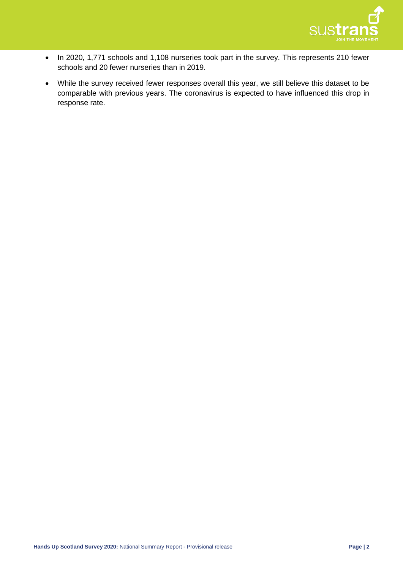

- In 2020, 1,771 schools and 1,108 nurseries took part in the survey. This represents 210 fewer schools and 20 fewer nurseries than in 2019.
- While the survey received fewer responses overall this year, we still believe this dataset to be comparable with previous years. The coronavirus is expected to have influenced this drop in response rate.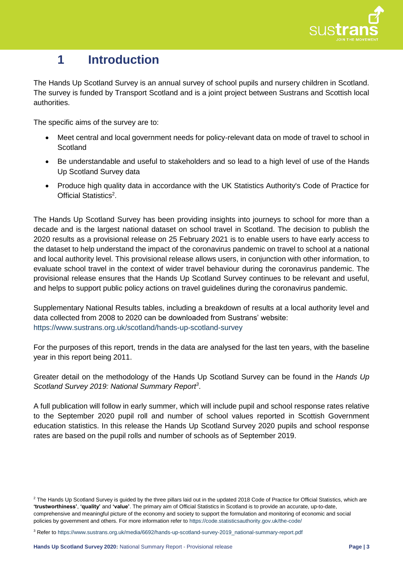

# **1 Introduction**

The Hands Up Scotland Survey is an annual survey of school pupils and nursery children in Scotland. The survey is funded by Transport Scotland and is a joint project between Sustrans and Scottish local authorities.

The specific aims of the survey are to:

- Meet central and local government needs for policy-relevant data on mode of travel to school in **Scotland**
- Be understandable and useful to stakeholders and so lead to a high level of use of the Hands Up Scotland Survey data
- Produce high quality data in accordance with the UK Statistics Authority's Code of Practice for Official Statistics<sup>2</sup>.

The Hands Up Scotland Survey has been providing insights into journeys to school for more than a decade and is the largest national dataset on school travel in Scotland. The decision to publish the 2020 results as a provisional release on 25 February 2021 is to enable users to have early access to the dataset to help understand the impact of the coronavirus pandemic on travel to school at a national and local authority level. This provisional release allows users, in conjunction with other information, to evaluate school travel in the context of wider travel behaviour during the coronavirus pandemic. The provisional release ensures that the Hands Up Scotland Survey continues to be relevant and useful, and helps to support public policy actions on travel guidelines during the coronavirus pandemic.

Supplementary National Results tables, including a breakdown of results at a local authority level and data collected from 2008 to 2020 can be downloaded from Sustrans' website: <https://www.sustrans.org.uk/scotland/hands-up-scotland-survey>

For the purposes of this report, trends in the data are analysed for the last ten years, with the baseline year in this report being 2011.

Greater detail on the methodology of the Hands Up Scotland Survey can be found in the *Hands Up Scotland Survey 2019: National Summary Report<sup>3</sup>* .

A full publication will follow in early summer, which will include pupil and school response rates relative to the September 2020 pupil roll and number of school values reported in Scottish Government education statistics. In this release the Hands Up Scotland Survey 2020 pupils and school response rates are based on the pupil rolls and number of schools as of September 2019.

<sup>3</sup> Refer t[o https://www.sustrans.org.uk/media/6692/hands-up-scotland-survey-2019\\_national-summary-report.pdf](https://www.sustrans.org.uk/media/6692/hands-up-scotland-survey-2019_national-summary-report.pdf)

 $2$  The Hands Up Scotland Survey is quided by the three pillars laid out in the updated 2018 Code of Practice for Official Statistics, which are **'trustworthiness'**, **'quality'** and **'value'**. The primary aim of Official Statistics in Scotland is to provide an accurate, up-to-date, comprehensive and meaningful picture of the economy and society to support the formulation and monitoring of economic and social policies by government and others. For more information refer to<https://code.statisticsauthority.gov.uk/the-code/>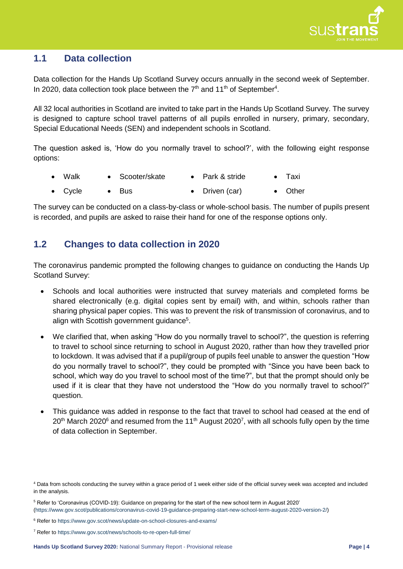

## **1.1 Data collection**

Data collection for the Hands Up Scotland Survey occurs annually in the second week of September. In 2020, data collection took place between the  $7<sup>th</sup>$  and 11<sup>th</sup> of September<sup>4</sup>.

All 32 local authorities in Scotland are invited to take part in the Hands Up Scotland Survey. The survey is designed to capture school travel patterns of all pupils enrolled in nursery, primary, secondary, Special Educational Needs (SEN) and independent schools in Scotland.

The question asked is, 'How do you normally travel to school?', with the following eight response options:

|  | Walk |  | Scooter/skate |  | Park & stride |  | Taxi |
|--|------|--|---------------|--|---------------|--|------|
|--|------|--|---------------|--|---------------|--|------|

 Cycle • Bus Driven (car) Other

The survey can be conducted on a class-by-class or whole-school basis. The number of pupils present is recorded, and pupils are asked to raise their hand for one of the response options only.

## **1.2 Changes to data collection in 2020**

The coronavirus pandemic prompted the following changes to guidance on conducting the Hands Up Scotland Survey:

- Schools and local authorities were instructed that survey materials and completed forms be shared electronically (e.g. digital copies sent by email) with, and within, schools rather than sharing physical paper copies. This was to prevent the risk of transmission of coronavirus, and to align with Scottish government guidance<sup>5</sup>.
- We clarified that, when asking "How do you normally travel to school?", the question is referring to travel to school since returning to school in August 2020, rather than how they travelled prior to lockdown. It was advised that if a pupil/group of pupils feel unable to answer the question "How do you normally travel to school?", they could be prompted with "Since you have been back to school, which way do you travel to school most of the time?", but that the prompt should only be used if it is clear that they have not understood the "How do you normally travel to school?" question.
- This guidance was added in response to the fact that travel to school had ceased at the end of  $20<sup>th</sup>$  March 2020<sup>6</sup> and resumed from the 11<sup>th</sup> August 2020<sup>7</sup>, with all schools fully open by the time of data collection in September.

<sup>4</sup> Data from schools conducting the survey within a grace period of 1 week either side of the official survey week was accepted and included in the analysis.

<sup>5</sup> Refer to 'Coronavirus (COVID-19): Guidance on preparing for the start of the new school term in August 2020' [\(https://www.gov.scot/publications/coronavirus-covid-19-guidance-preparing-start-new-school-term-august-2020-version-2/\)](https://www.gov.scot/publications/coronavirus-covid-19-guidance-preparing-start-new-school-term-august-2020-version-2/)

<sup>6</sup> Refer t[o https://www.gov.scot/news/update-on-school-closures-and-exams/](https://www.gov.scot/news/update-on-school-closures-and-exams/)

<sup>7</sup> Refer t[o https://www.gov.scot/news/schools-to-re-open-full-time/](https://www.gov.scot/news/schools-to-re-open-full-time/)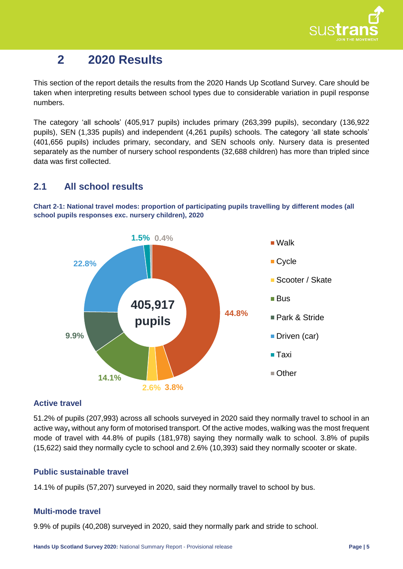

# **2 2020 Results**

This section of the report details the results from the 2020 Hands Up Scotland Survey. Care should be taken when interpreting results between school types due to considerable variation in pupil response numbers.

The category 'all schools' (405,917 pupils) includes primary (263,399 pupils), secondary (136,922 pupils), SEN (1,335 pupils) and independent (4,261 pupils) schools. The category 'all state schools' (401,656 pupils) includes primary, secondary, and SEN schools only. Nursery data is presented separately as the number of nursery school respondents (32,688 children) has more than tripled since data was first collected.

## **2.1 All school results**

**Chart 2-1: National travel modes: proportion of participating pupils travelling by different modes (all school pupils responses exc. nursery children), 2020**



## **Active travel**

51.2% of pupils (207,993) across all schools surveyed in 2020 said they normally travel to school in an active way**,** without any form of motorised transport. Of the active modes, walking was the most frequent mode of travel with 44.8% of pupils (181,978) saying they normally walk to school. 3.8% of pupils (15,622) said they normally cycle to school and 2.6% (10,393) said they normally scooter or skate.

## **Public sustainable travel**

14.1% of pupils (57,207) surveyed in 2020, said they normally travel to school by bus.

## **Multi-mode travel**

9.9% of pupils (40,208) surveyed in 2020, said they normally park and stride to school.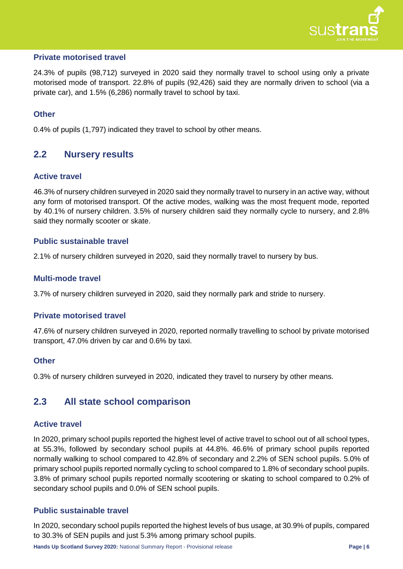

#### **Private motorised travel**

24.3% of pupils (98,712) surveyed in 2020 said they normally travel to school using only a private motorised mode of transport. 22.8% of pupils (92,426) said they are normally driven to school (via a private car), and 1.5% (6,286) normally travel to school by taxi.

## **Other**

0.4% of pupils (1,797) indicated they travel to school by other means.

## **2.2 Nursery results**

#### **Active travel**

46.3% of nursery children surveyed in 2020 said they normally travel to nursery in an active way, without any form of motorised transport. Of the active modes, walking was the most frequent mode, reported by 40.1% of nursery children. 3.5% of nursery children said they normally cycle to nursery, and 2.8% said they normally scooter or skate.

#### **Public sustainable travel**

2.1% of nursery children surveyed in 2020, said they normally travel to nursery by bus.

### **Multi-mode travel**

3.7% of nursery children surveyed in 2020, said they normally park and stride to nursery.

#### **Private motorised travel**

47.6% of nursery children surveyed in 2020, reported normally travelling to school by private motorised transport, 47.0% driven by car and 0.6% by taxi.

#### **Other**

0.3% of nursery children surveyed in 2020, indicated they travel to nursery by other means.

## **2.3 All state school comparison**

#### **Active travel**

In 2020, primary school pupils reported the highest level of active travel to school out of all school types, at 55.3%, followed by secondary school pupils at 44.8%. 46.6% of primary school pupils reported normally walking to school compared to 42.8% of secondary and 2.2% of SEN school pupils. 5.0% of primary school pupils reported normally cycling to school compared to 1.8% of secondary school pupils. 3.8% of primary school pupils reported normally scootering or skating to school compared to 0.2% of secondary school pupils and 0.0% of SEN school pupils.

## **Public sustainable travel**

In 2020, secondary school pupils reported the highest levels of bus usage, at 30.9% of pupils, compared to 30.3% of SEN pupils and just 5.3% among primary school pupils.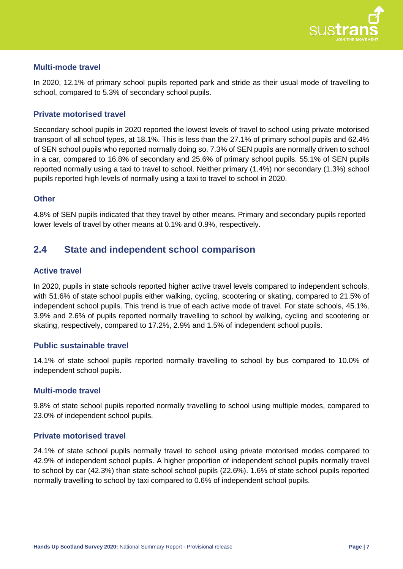

### **Multi-mode travel**

In 2020, 12.1% of primary school pupils reported park and stride as their usual mode of travelling to school, compared to 5.3% of secondary school pupils.

#### **Private motorised travel**

Secondary school pupils in 2020 reported the lowest levels of travel to school using private motorised transport of all school types, at 18.1%. This is less than the 27.1% of primary school pupils and 62.4% of SEN school pupils who reported normally doing so. 7.3% of SEN pupils are normally driven to school in a car, compared to 16.8% of secondary and 25.6% of primary school pupils. 55.1% of SEN pupils reported normally using a taxi to travel to school. Neither primary (1.4%) nor secondary (1.3%) school pupils reported high levels of normally using a taxi to travel to school in 2020.

#### **Other**

4.8% of SEN pupils indicated that they travel by other means. Primary and secondary pupils reported lower levels of travel by other means at 0.1% and 0.9%, respectively.

## **2.4 State and independent school comparison**

#### **Active travel**

In 2020, pupils in state schools reported higher active travel levels compared to independent schools, with 51.6% of state school pupils either walking, cycling, scootering or skating, compared to 21.5% of independent school pupils. This trend is true of each active mode of travel. For state schools, 45.1%, 3.9% and 2.6% of pupils reported normally travelling to school by walking, cycling and scootering or skating, respectively, compared to 17.2%, 2.9% and 1.5% of independent school pupils.

#### **Public sustainable travel**

14.1% of state school pupils reported normally travelling to school by bus compared to 10.0% of independent school pupils.

#### **Multi-mode travel**

9.8% of state school pupils reported normally travelling to school using multiple modes, compared to 23.0% of independent school pupils.

#### **Private motorised travel**

24.1% of state school pupils normally travel to school using private motorised modes compared to 42.9% of independent school pupils. A higher proportion of independent school pupils normally travel to school by car (42.3%) than state school school pupils (22.6%). 1.6% of state school pupils reported normally travelling to school by taxi compared to 0.6% of independent school pupils.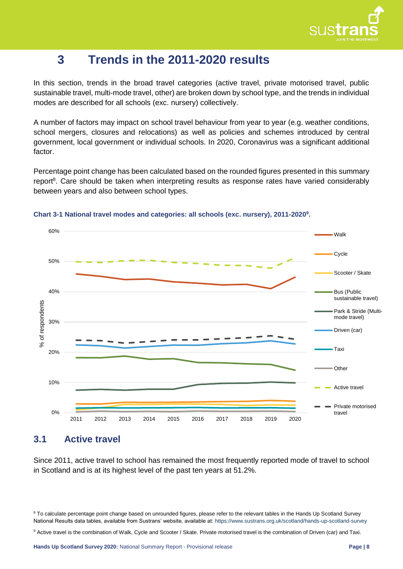

# **3 Trends in the 2011-2020 results**

In this section, trends in the broad travel categories (active travel, private motorised travel, public sustainable travel, multi-mode travel, other) are broken down by school type, and the trends in individual modes are described for all schools (exc. nursery) collectively.

A number of factors may impact on school travel behaviour from year to year (e.g. weather conditions, school mergers, closures and relocations) as well as policies and schemes introduced by central government, local government or individual schools. In 2020, Coronavirus was a significant additional factor.

Percentage point change has been calculated based on the rounded figures presented in this summary report<sup>8</sup>. Care should be taken when interpreting results as response rates have varied considerably between years and also between school types.



#### **Chart 3-1 National travel modes and categories: all schools (exc. nursery), 2011-2020<sup>9</sup> .**

## **3.1 Active travel**

Since 2011, active travel to school has remained the most frequently reported mode of travel to school in Scotland and is at its highest level of the past ten years at 51.2%.

<sup>&</sup>lt;sup>8</sup> To calculate percentage point change based on unrounded figures, please refer to the relevant tables in the Hands Up Scotland Survey National Results data tables, available from Sustrans' website, available at[: https://www.sustrans.org.uk/scotland/hands-up-scotland-survey](https://www.sustrans.org.uk/scotland/hands-up-scotland-survey)

<sup>9</sup> Active travel is the combination of Walk, Cycle and Scooter / Skate. Private motorised travel is the combination of Driven (car) and Taxi.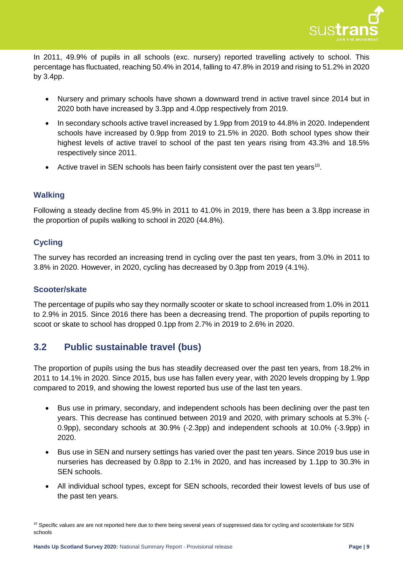

In 2011, 49.9% of pupils in all schools (exc. nursery) reported travelling actively to school. This percentage has fluctuated, reaching 50.4% in 2014, falling to 47.8% in 2019 and rising to 51.2% in 2020 by 3.4pp.

- Nursery and primary schools have shown a downward trend in active travel since 2014 but in 2020 both have increased by 3.3pp and 4.0pp respectively from 2019.
- In secondary schools active travel increased by 1.9pp from 2019 to 44.8% in 2020. Independent schools have increased by 0.9pp from 2019 to 21.5% in 2020. Both school types show their highest levels of active travel to school of the past ten years rising from 43.3% and 18.5% respectively since 2011.
- Active travel in SEN schools has been fairly consistent over the past ten years<sup>10</sup>.

## **Walking**

Following a steady decline from 45.9% in 2011 to 41.0% in 2019, there has been a 3.8pp increase in the proportion of pupils walking to school in 2020 (44.8%).

## **Cycling**

The survey has recorded an increasing trend in cycling over the past ten years, from 3.0% in 2011 to 3.8% in 2020. However, in 2020, cycling has decreased by 0.3pp from 2019 (4.1%).

## **Scooter/skate**

The percentage of pupils who say they normally scooter or skate to school increased from 1.0% in 2011 to 2.9% in 2015. Since 2016 there has been a decreasing trend. The proportion of pupils reporting to scoot or skate to school has dropped 0.1pp from 2.7% in 2019 to 2.6% in 2020.

## **3.2 Public sustainable travel (bus)**

The proportion of pupils using the bus has steadily decreased over the past ten years, from 18.2% in 2011 to 14.1% in 2020. Since 2015, bus use has fallen every year, with 2020 levels dropping by 1.9pp compared to 2019, and showing the lowest reported bus use of the last ten years.

- Bus use in primary, secondary, and independent schools has been declining over the past ten years. This decrease has continued between 2019 and 2020, with primary schools at 5.3% (- 0.9pp), secondary schools at 30.9% (-2.3pp) and independent schools at 10.0% (-3.9pp) in 2020.
- Bus use in SEN and nursery settings has varied over the past ten years. Since 2019 bus use in nurseries has decreased by 0.8pp to 2.1% in 2020, and has increased by 1.1pp to 30.3% in SEN schools.
- All individual school types, except for SEN schools, recorded their lowest levels of bus use of the past ten years.

<sup>&</sup>lt;sup>10</sup> Specific values are are not reported here due to there being several years of suppressed data for cycling and scooter/skate for SEN schools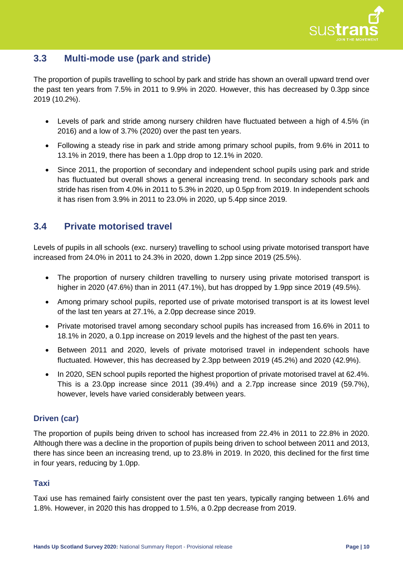

## **3.3 Multi-mode use (park and stride)**

The proportion of pupils travelling to school by park and stride has shown an overall upward trend over the past ten years from 7.5% in 2011 to 9.9% in 2020. However, this has decreased by 0.3pp since 2019 (10.2%).

- Levels of park and stride among nursery children have fluctuated between a high of 4.5% (in 2016) and a low of 3.7% (2020) over the past ten years.
- Following a steady rise in park and stride among primary school pupils, from 9.6% in 2011 to 13.1% in 2019, there has been a 1.0pp drop to 12.1% in 2020.
- Since 2011, the proportion of secondary and independent school pupils using park and stride has fluctuated but overall shows a general increasing trend. In secondary schools park and stride has risen from 4.0% in 2011 to 5.3% in 2020, up 0.5pp from 2019. In independent schools it has risen from 3.9% in 2011 to 23.0% in 2020, up 5.4pp since 2019.

## **3.4 Private motorised travel**

Levels of pupils in all schools (exc. nursery) travelling to school using private motorised transport have increased from 24.0% in 2011 to 24.3% in 2020, down 1.2pp since 2019 (25.5%).

- The proportion of nursery children travelling to nursery using private motorised transport is higher in 2020 (47.6%) than in 2011 (47.1%), but has dropped by 1.9pp since 2019 (49.5%).
- Among primary school pupils, reported use of private motorised transport is at its lowest level of the last ten years at 27.1%, a 2.0pp decrease since 2019.
- Private motorised travel among secondary school pupils has increased from 16.6% in 2011 to 18.1% in 2020, a 0.1pp increase on 2019 levels and the highest of the past ten years.
- Between 2011 and 2020, levels of private motorised travel in independent schools have fluctuated. However, this has decreased by 2.3pp between 2019 (45.2%) and 2020 (42.9%).
- In 2020, SEN school pupils reported the highest proportion of private motorised travel at 62.4%. This is a 23.0pp increase since 2011 (39.4%) and a 2.7pp increase since 2019 (59.7%), however, levels have varied considerably between years.

## **Driven (car)**

The proportion of pupils being driven to school has increased from 22.4% in 2011 to 22.8% in 2020. Although there was a decline in the proportion of pupils being driven to school between 2011 and 2013, there has since been an increasing trend, up to 23.8% in 2019. In 2020, this declined for the first time in four years, reducing by 1.0pp.

## **Taxi**

Taxi use has remained fairly consistent over the past ten years, typically ranging between 1.6% and 1.8%. However, in 2020 this has dropped to 1.5%, a 0.2pp decrease from 2019.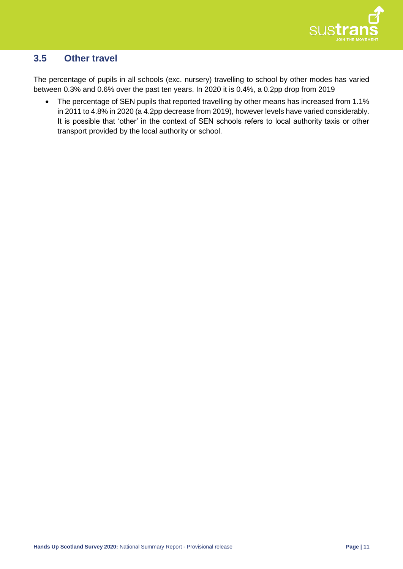

## **3.5 Other travel**

The percentage of pupils in all schools (exc. nursery) travelling to school by other modes has varied between 0.3% and 0.6% over the past ten years. In 2020 it is 0.4%, a 0.2pp drop from 2019

• The percentage of SEN pupils that reported travelling by other means has increased from 1.1% in 2011 to 4.8% in 2020 (a 4.2pp decrease from 2019), however levels have varied considerably. It is possible that 'other' in the context of SEN schools refers to local authority taxis or other transport provided by the local authority or school.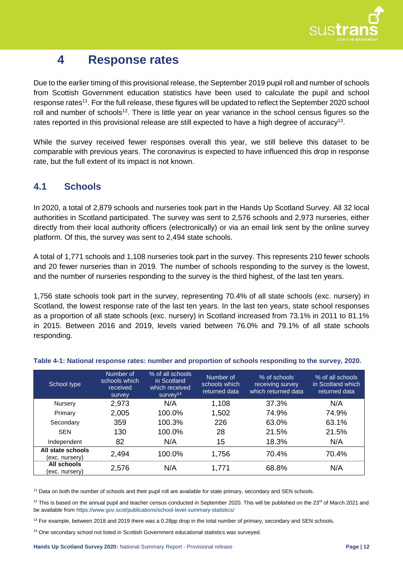

# **4 Response rates**

Due to the earlier timing of this provisional release, the September 2019 pupil roll and number of schools from Scottish Government education statistics have been used to calculate the pupil and school response rates<sup>11</sup>. For the full release, these figures will be updated to reflect the September 2020 school roll and number of schools<sup>12</sup>. There is little year on year variance in the school census figures so the rates reported in this provisional release are still expected to have a high degree of accuracy<sup>13</sup>.

While the survey received fewer responses overall this year, we still believe this dataset to be comparable with previous years. The coronavirus is expected to have influenced this drop in response rate, but the full extent of its impact is not known.

## **4.1 Schools**

In 2020, a total of 2,879 schools and nurseries took part in the Hands Up Scotland Survey. All 32 local authorities in Scotland participated. The survey was sent to 2,576 schools and 2,973 nurseries, either directly from their local authority officers (electronically) or via an email link sent by the online survey platform. Of this, the survey was sent to 2,494 state schools.

A total of 1,771 schools and 1,108 nurseries took part in the survey. This represents 210 fewer schools and 20 fewer nurseries than in 2019. The number of schools responding to the survey is the lowest, and the number of nurseries responding to the survey is the third highest, of the last ten years.

1,756 state schools took part in the survey, representing 70.4% of all state schools (exc. nursery) in Scotland, the lowest response rate of the last ten years. In the last ten years, state school responses as a proportion of all state schools (exc. nursery) in Scotland increased from 73.1% in 2011 to 81.1% in 2015. Between 2016 and 2019, levels varied between 76.0% and 79.1% of all state schools responding.

| School type                         | Number of<br>schools which<br>received<br>survey | % of all schools<br>in Scotland<br>which received<br>$s$ urvey <sup>14</sup> | Number of<br>schools which<br>returned data | % of schools<br>receiving survey<br>which returned data | % of all schools<br>in Scotland which<br>returned data |
|-------------------------------------|--------------------------------------------------|------------------------------------------------------------------------------|---------------------------------------------|---------------------------------------------------------|--------------------------------------------------------|
| Nursery                             | 2,973                                            | N/A                                                                          | 1,108                                       | 37.3%                                                   | N/A                                                    |
| Primary                             | 2,005                                            | 100.0%                                                                       | 1,502                                       | 74.9%                                                   | 74.9%                                                  |
| Secondary                           | 359                                              | 100.3%                                                                       | 226                                         | 63.0%                                                   | 63.1%                                                  |
| <b>SEN</b>                          | 130                                              | 100.0%                                                                       | 28                                          | 21.5%                                                   | 21.5%                                                  |
| Independent                         | 82                                               | N/A                                                                          | 15                                          | 18.3%                                                   | N/A                                                    |
| All state schools<br>(exc. nursery) | 2,494                                            | 100.0%                                                                       | 1,756                                       | 70.4%                                                   | 70.4%                                                  |
| All schools<br>(exc. nursery)       | 2,576                                            | N/A                                                                          | 1,771                                       | 68.8%                                                   | N/A                                                    |

#### **Table 4-1: National response rates: number and proportion of schools responding to the survey, 2020.**

<sup>11</sup> Data on both the number of schools and their pupil roll are available for state primary, secondary and SEN schools.

 $12$  This is based on the annual pupil and teacher census conducted in September 2020. This will be published on the 23<sup>rd</sup> of March 2021 and be available fro[m https://www.gov.scot/publications/school-level-summary-statistics/](https://www.gov.scot/publications/school-level-summary-statistics/)

<sup>13</sup> For example, between 2018 and 2019 there was a 0.28pp drop in the total number of primary, secondary and SEN schools.

<sup>14</sup> One secondary school not listed in Scottish Government educational statistics was surveyed.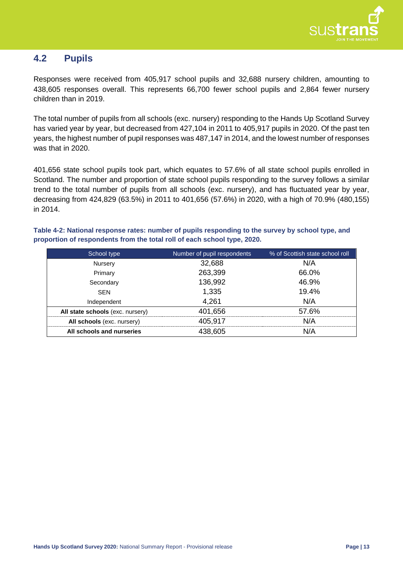

## **4.2 Pupils**

Responses were received from 405,917 school pupils and 32,688 nursery children, amounting to 438,605 responses overall. This represents 66,700 fewer school pupils and 2,864 fewer nursery children than in 2019.

The total number of pupils from all schools (exc. nursery) responding to the Hands Up Scotland Survey has varied year by year, but decreased from 427,104 in 2011 to 405,917 pupils in 2020. Of the past ten years, the highest number of pupil responses was 487,147 in 2014, and the lowest number of responses was that in 2020.

401,656 state school pupils took part, which equates to 57.6% of all state school pupils enrolled in Scotland. The number and proportion of state school pupils responding to the survey follows a similar trend to the total number of pupils from all schools (exc. nursery), and has fluctuated year by year, decreasing from 424,829 (63.5%) in 2011 to 401,656 (57.6%) in 2020, with a high of 70.9% (480,155) in 2014.

**Table 4-2: National response rates: number of pupils responding to the survey by school type, and proportion of respondents from the total roll of each school type, 2020.**

| School type                      | Number of pupil respondents | % of Scottish state school roll |
|----------------------------------|-----------------------------|---------------------------------|
| Nursery                          | 32,688                      | N/A                             |
| Primary                          | 263,399                     | 66.0%                           |
| Secondary                        | 136,992                     | 46.9%                           |
| <b>SEN</b>                       | 1,335                       | 19.4%                           |
| Independent                      | 4,261                       | N/A                             |
| All state schools (exc. nursery) | 401,656                     | 57.6%                           |
| All schools (exc. nursery)       | 405,917                     | N/A                             |
| All schools and nurseries        | 438,605                     | N/A                             |